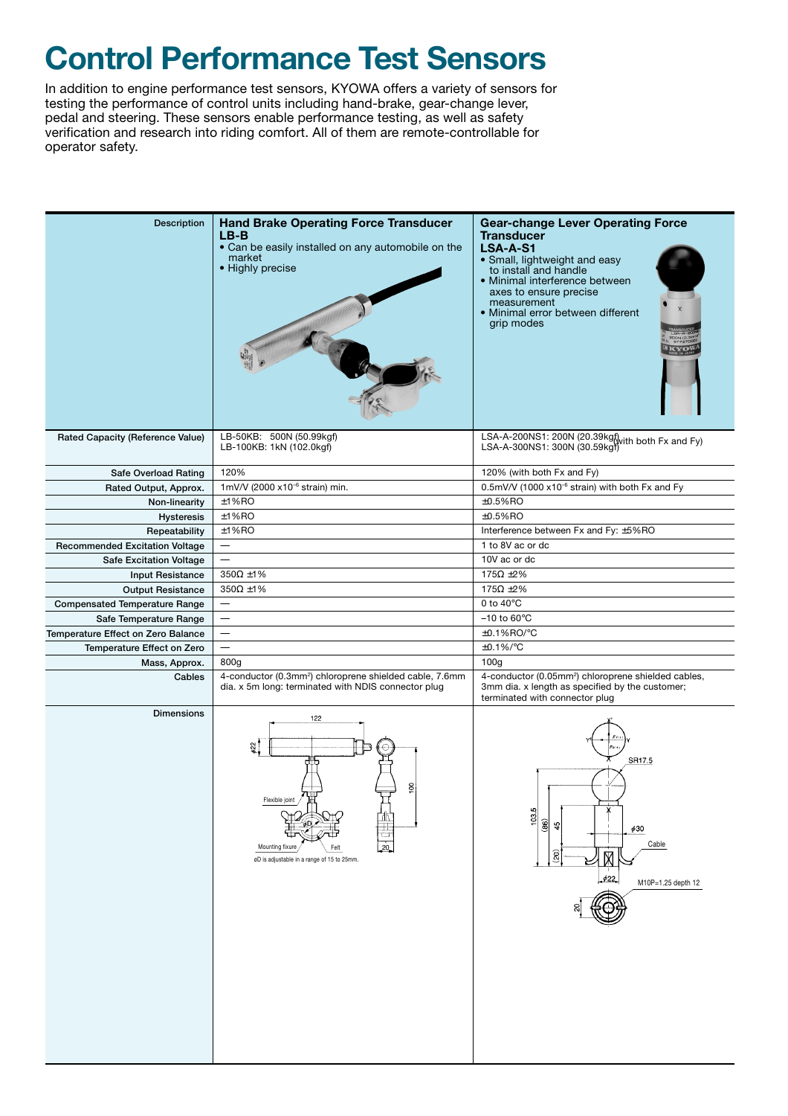## **Control Performance Test Sensors**

In addition to engine performance test sensors, KYOWA offers a variety of sensors for testing the performance of control units including hand-brake, gear-change lever, pedal and steering. These sensors enable performance testing, as well as safety verification and research into riding comfort. All of them are remote-controllable for operator safety.

| <b>Description</b>                    | <b>Hand Brake Operating Force Transducer</b><br>$LB-B$<br>• Can be easily installed on any automobile on the<br>market<br>• Highly precise | <b>Gear-change Lever Operating Force</b><br><b>Transducer</b><br><b>LSA-A-S1</b><br>• Small, lightweight and easy<br>to install and handle<br>· Minimal interference between<br>axes to ensure precise<br>measurement<br>• Minimal error between different<br>grip modes |  |
|---------------------------------------|--------------------------------------------------------------------------------------------------------------------------------------------|--------------------------------------------------------------------------------------------------------------------------------------------------------------------------------------------------------------------------------------------------------------------------|--|
| Rated Capacity (Reference Value)      | LB-50KB: 500N (50.99kgf)<br>LB-100KB: 1kN (102.0kgf)                                                                                       | LSA-A-200NS1: 200N (20.39kgf) with both Fx and Fy)<br>LSA-A-300NS1: 300N (30.59kgf)                                                                                                                                                                                      |  |
| Safe Overload Rating                  | 120%                                                                                                                                       | 120% (with both Fx and Fy)                                                                                                                                                                                                                                               |  |
| Rated Output, Approx.                 | 1mV/V (2000 x10 <sup>-6</sup> strain) min.                                                                                                 | 0.5mV/V (1000 x10 <sup>-6</sup> strain) with both Fx and Fy                                                                                                                                                                                                              |  |
| Non-linearity                         | ±1%RO                                                                                                                                      | $±0.5%$ RO                                                                                                                                                                                                                                                               |  |
| <b>Hysteresis</b>                     | ±1%RO                                                                                                                                      | $±0.5%$ RO                                                                                                                                                                                                                                                               |  |
| Repeatability                         | ±1%RO                                                                                                                                      | Interference between Fx and Fy: ±5%RO                                                                                                                                                                                                                                    |  |
| <b>Recommended Excitation Voltage</b> | $\overline{\phantom{m}}$                                                                                                                   | 1 to 8V ac or dc                                                                                                                                                                                                                                                         |  |
| <b>Safe Excitation Voltage</b>        | $\equiv$                                                                                                                                   | 10V ac or dc                                                                                                                                                                                                                                                             |  |
| <b>Input Resistance</b>               | $350\Omega \pm 1\%$                                                                                                                        | 175 $\Omega$ ±2%                                                                                                                                                                                                                                                         |  |
| <b>Output Resistance</b>              | $350\Omega \pm 1\%$                                                                                                                        | 175 $\Omega$ ±2%                                                                                                                                                                                                                                                         |  |
| <b>Compensated Temperature Range</b>  | $\qquad \qquad =$                                                                                                                          | 0 to $40^{\circ}$ C                                                                                                                                                                                                                                                      |  |
| Safe Temperature Range                |                                                                                                                                            | $-10$ to 60 $\degree$ C                                                                                                                                                                                                                                                  |  |
| Temperature Effect on Zero Balance    | —                                                                                                                                          | ±0.1%RO/°C                                                                                                                                                                                                                                                               |  |
| Temperature Effect on Zero            | $\equiv$                                                                                                                                   | $\pm 0.1\%$ /°C                                                                                                                                                                                                                                                          |  |
| Mass, Approx.                         | 800g                                                                                                                                       | 100 <sub>g</sub>                                                                                                                                                                                                                                                         |  |
| Cables                                | 4-conductor (0.3mm <sup>2</sup> ) chloroprene shielded cable, 7.6mm<br>dia. x 5m long: terminated with NDIS connector plug                 | 4-conductor (0.05mm <sup>2</sup> ) chloroprene shielded cables,<br>3mm dia. x length as specified by the customer;<br>terminated with connector plug                                                                                                                     |  |
| <b>Dimensions</b>                     | 122<br>55<br>Flexible joir<br>tш<br>20<br>Mounting fixure<br>øD is adjustable in a range of 15 to 25mm.                                    | SR17.5<br>103.5<br>(86)<br>49<br>$\phi$ 30<br>Cable<br>$\hat{g}$<br>422<br>M10P=1.25 depth 12                                                                                                                                                                            |  |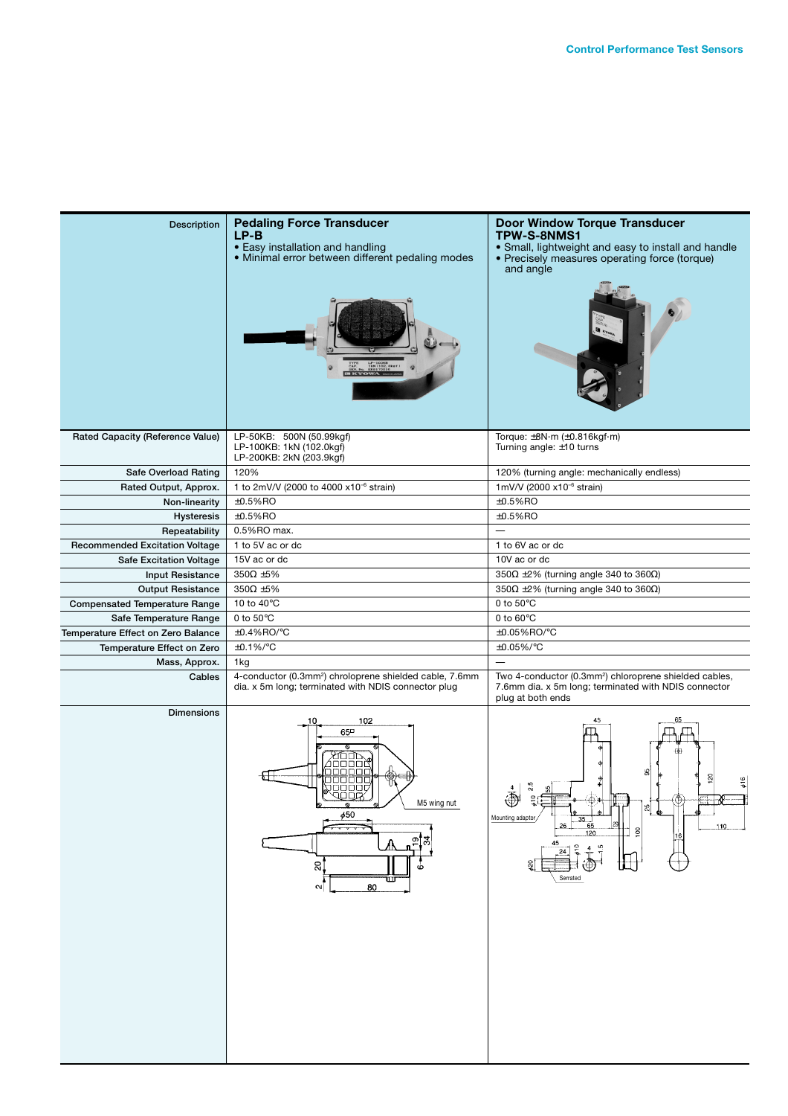| <b>Description</b>                      | <b>Pedaling Force Transducer</b><br>$LP-B$<br>• Easy installation and handling<br>• Minimal error between different pedaling modes | <b>Door Window Torque Transducer</b><br>TPW-S-8NMS1<br>• Small, lightweight and easy to install and handle<br>• Precisely measures operating force (torque)<br>and angle |  |
|-----------------------------------------|------------------------------------------------------------------------------------------------------------------------------------|--------------------------------------------------------------------------------------------------------------------------------------------------------------------------|--|
| <b>Rated Capacity (Reference Value)</b> | LP-50KB: 500N (50.99kgf)<br>LP-100KB: 1kN (102.0kgf)<br>LP-200KB: 2kN (203.9kgf)                                                   | Torque: $\pm 8N \cdot m$ ( $\pm 0.816$ kgf $\cdot m$ )<br>Turning angle: ±10 turns                                                                                       |  |
| Safe Overload Rating                    | 120%                                                                                                                               | 120% (turning angle: mechanically endless)                                                                                                                               |  |
| Rated Output, Approx.                   | 1 to 2mV/V (2000 to 4000 x10 <sup>-6</sup> strain)                                                                                 | 1mV/V (2000 x10 <sup>-6</sup> strain)                                                                                                                                    |  |
| Non-linearity                           | $±0.5%$ RO                                                                                                                         | $±0.5%$ RO                                                                                                                                                               |  |
| <b>Hysteresis</b>                       | $±0.5%$ RO                                                                                                                         | $±0.5%$ RO                                                                                                                                                               |  |
|                                         | 0.5%RO max.                                                                                                                        | $\overline{\phantom{0}}$                                                                                                                                                 |  |
| Repeatability                           |                                                                                                                                    |                                                                                                                                                                          |  |
| <b>Recommended Excitation Voltage</b>   | 1 to 5V ac or dc                                                                                                                   | 1 to 6V ac or dc                                                                                                                                                         |  |
| <b>Safe Excitation Voltage</b>          | 15V ac or dc                                                                                                                       | 10V ac or dc                                                                                                                                                             |  |
| <b>Input Resistance</b>                 | $350\Omega \pm 5\%$                                                                                                                | 350 $\Omega$ ±2% (turning angle 340 to 360 $\Omega$ )                                                                                                                    |  |
| <b>Output Resistance</b>                | $350\Omega \pm 5\%$                                                                                                                | 350 $\Omega$ ±2% (turning angle 340 to 360 $\Omega$ )                                                                                                                    |  |
| <b>Compensated Temperature Range</b>    | 10 to 40 $\mathrm{^{\circ}C}$                                                                                                      | 0 to $50^{\circ}$ C                                                                                                                                                      |  |
| Safe Temperature Range                  | 0 to $50^{\circ}$ C                                                                                                                | 0 to $60^{\circ}$ C                                                                                                                                                      |  |
| Temperature Effect on Zero Balance      | ±0.4%RO/°C                                                                                                                         | ±0.05%RO/°C                                                                                                                                                              |  |
| Temperature Effect on Zero              | $\pm$ 0.1%/ $\mathrm{^{\circ}C}$                                                                                                   | $±0.05\%/°C$                                                                                                                                                             |  |
| Mass, Approx.                           | 1kg                                                                                                                                | $\equiv$                                                                                                                                                                 |  |
| Cables                                  | 4-conductor (0.3mm <sup>2</sup> ) chroloprene shielded cable, 7.6mm<br>dia. x 5m long; terminated with NDIS connector plug         | Two 4-conductor (0.3mm <sup>2</sup> ) chloroprene shielded cables,<br>7.6mm dia. x 5m long; terminated with NDIS connector<br>plug at both ends                          |  |
| <b>Dimensions</b>                       | 102<br>65 <sup>o</sup><br>හිα<br>000<br>םכו<br>סםםםםנ<br>אסםק<br>M5 wing nut<br>450<br>ଟ<br>╥<br>80<br>$\sim$                      | ஃ<br>$\frac{916}{5}$<br>s<br>√_ ⊕<br>Mounting adaptor<br>110<br>$\frac{8}{2}$<br>120<br>Serrated                                                                         |  |